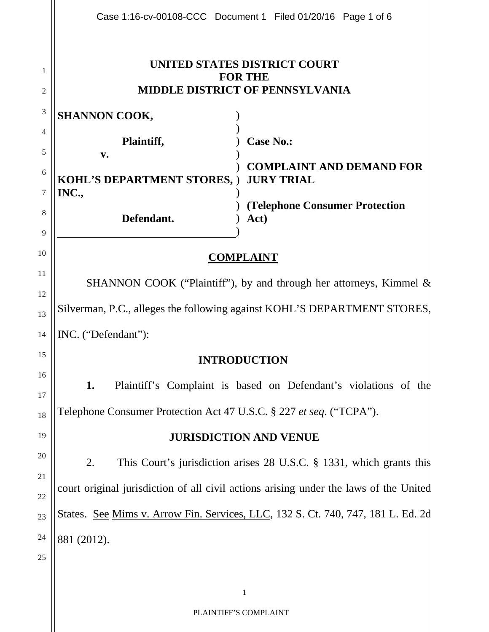|                                                                                              | Case 1:16-cv-00108-CCC Document 1 Filed 01/20/16 Page 1 of 6 |
|----------------------------------------------------------------------------------------------|--------------------------------------------------------------|
| UNITED STATES DISTRICT COURT<br><b>FOR THE</b><br><b>MIDDLE DISTRICT OF PENNSYLVANIA</b>     |                                                              |
| <b>SHANNON COOK,</b>                                                                         |                                                              |
| Plaintiff,                                                                                   | <b>Case No.:</b>                                             |
| <b>KOHL'S DEPARTMENT STORES, )</b>                                                           | <b>COMPLAINT AND DEMAND FOR</b><br><b>JURY TRIAL</b>         |
| INC.,<br>Defendant.                                                                          | <b>(Telephone Consumer Protection)</b><br>Act)               |
| 10<br><b>COMPLAINT</b>                                                                       |                                                              |
| 11<br>SHANNON COOK ("Plaintiff"), by and through her attorneys, Kimmel &                     |                                                              |
| 12<br>Silverman, P.C., alleges the following against KOHL'S DEPARTMENT STORES,<br>13         |                                                              |
| INC. ("Defendant"):<br>14                                                                    |                                                              |
| 15<br><b>INTRODUCTION</b>                                                                    |                                                              |
| 16<br>1.<br>Plaintiff's Complaint is based on Defendant's violations of the<br>17            |                                                              |
| Telephone Consumer Protection Act 47 U.S.C. § 227 et seq. ("TCPA").<br>18                    |                                                              |
| 19<br><b>JURISDICTION AND VENUE</b>                                                          |                                                              |
| 20<br>2.<br>This Court's jurisdiction arises 28 U.S.C. § 1331, which grants this             |                                                              |
| 21<br>court original jurisdiction of all civil actions arising under the laws of the United  |                                                              |
| 22<br>States. See Mims v. Arrow Fin. Services, LLC, 132 S. Ct. 740, 747, 181 L. Ed. 2d<br>23 |                                                              |
| 24<br>881 (2012).                                                                            |                                                              |
|                                                                                              |                                                              |
|                                                                                              | $\mathbf{1}$                                                 |
| PLAINTIFF'S COMPLAINT                                                                        |                                                              |
|                                                                                              | $\mathbf{v}$ .                                               |

 $\parallel$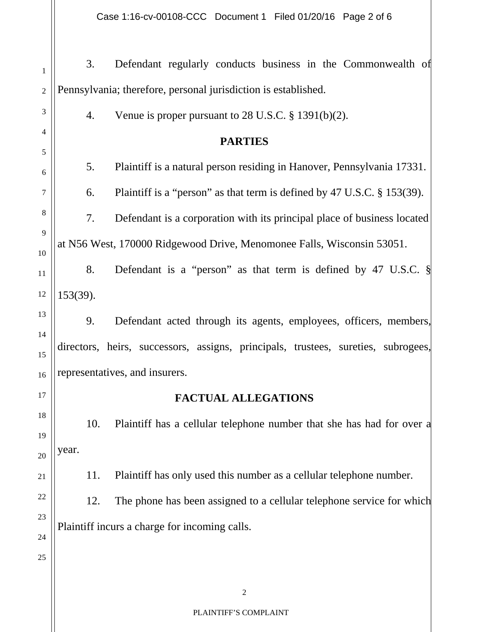Case 1:16-cv-00108-CCC Document 1 Filed 01/20/16 Page 2 of 6

3. Defendant regularly conducts business in the Commonwealth of Pennsylvania; therefore, personal jurisdiction is established. 1 3 4 5 6 7 8 9 10 11 13 14 17 18 19 21 22 23 24 25 2 4. Venue is proper pursuant to 28 U.S.C. § 1391(b)(2). **PARTIES**  5. Plaintiff is a natural person residing in Hanover, Pennsylvania 17331. 6. Plaintiff is a "person" as that term is defined by 47 U.S.C. § 153(39). 7. Defendant is a corporation with its principal place of business located at N56 West, 170000 Ridgewood Drive, Menomonee Falls, Wisconsin 53051. 12 8. Defendant is a "person" as that term is defined by 47 U.S.C. § 153(39). 15 16 9. Defendant acted through its agents, employees, officers, members, directors, heirs, successors, assigns, principals, trustees, sureties, subrogees, representatives, and insurers. **FACTUAL ALLEGATIONS**  10. Plaintiff has a cellular telephone number that she has had for over a  $_{20}$  | year. 11. Plaintiff has only used this number as a cellular telephone number. 12. The phone has been assigned to a cellular telephone service for which Plaintiff incurs a charge for incoming calls.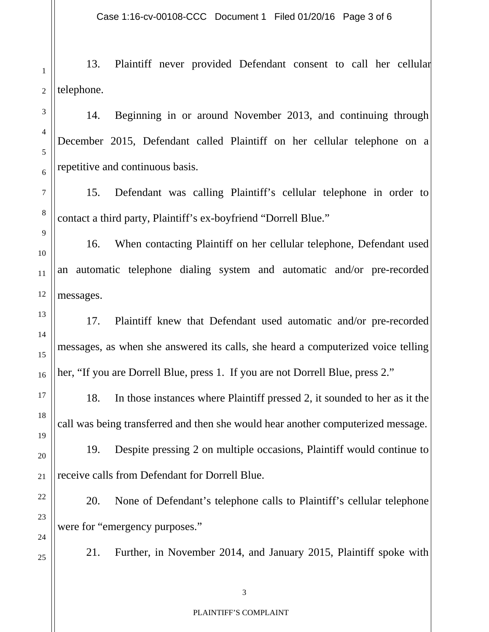Case 1:16-cv-00108-CCC Document 1 Filed 01/20/16 Page 3 of 6

1 2 13. Plaintiff never provided Defendant consent to call her cellular telephone.

14. Beginning in or around November 2013, and continuing through December 2015, Defendant called Plaintiff on her cellular telephone on a repetitive and continuous basis.

15. Defendant was calling Plaintiff's cellular telephone in order to contact a third party, Plaintiff's ex-boyfriend "Dorrell Blue."

16. When contacting Plaintiff on her cellular telephone, Defendant used an automatic telephone dialing system and automatic and/or pre-recorded messages.

17. Plaintiff knew that Defendant used automatic and/or pre-recorded messages, as when she answered its calls, she heard a computerized voice telling her, "If you are Dorrell Blue, press 1. If you are not Dorrell Blue, press 2."

18. In those instances where Plaintiff pressed 2, it sounded to her as it the call was being transferred and then she would hear another computerized message.

19. Despite pressing 2 on multiple occasions, Plaintiff would continue to  $_{21}$  | receive calls from Defendant for Dorrell Blue.

20. None of Defendant's telephone calls to Plaintiff's cellular telephone were for "emergency purposes."

3

5

6

4

7

9

8

10

11

13

12

14

15

17

16

19

18

20

22

23

24

25

21. Further, in November 2014, and January 2015, Plaintiff spoke with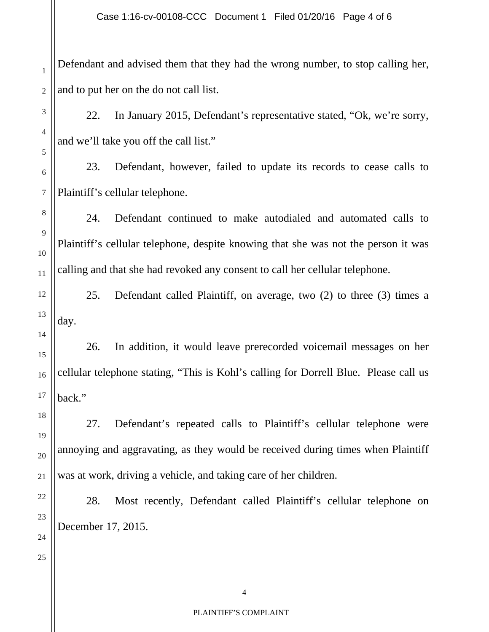Defendant and advised them that they had the wrong number, to stop calling her, and to put her on the do not call list.

22. In January 2015, Defendant's representative stated, "Ok, we're sorry, and we'll take you off the call list."

23. Defendant, however, failed to update its records to cease calls to Plaintiff's cellular telephone.

24. Defendant continued to make autodialed and automated calls to Plaintiff's cellular telephone, despite knowing that she was not the person it was  $c_{11}$  calling and that she had revoked any consent to call her cellular telephone.

25. Defendant called Plaintiff, on average, two (2) to three (3) times a day.

26. In addition, it would leave prerecorded voicemail messages on her cellular telephone stating, "This is Kohl's calling for Dorrell Blue. Please call us back."

27. Defendant's repeated calls to Plaintiff's cellular telephone were annoying and aggravating, as they would be received during times when Plaintiff was at work, driving a vehicle, and taking care of her children.

28. Most recently, Defendant called Plaintiff's cellular telephone on December 17, 2015.

1

2

3

5

4

6

7

8

9

10

12

4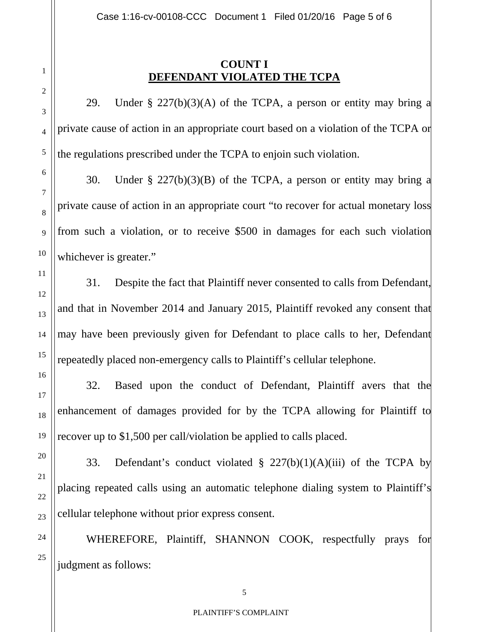## **COUNT I DEFENDANT VIOLATED THE TCPA**

29. Under  $\S 227(b)(3)(A)$  of the TCPA, a person or entity may bring a private cause of action in an appropriate court based on a violation of the TCPA or the regulations prescribed under the TCPA to enjoin such violation.

30. Under  $\S 227(b)(3)(B)$  of the TCPA, a person or entity may bring a private cause of action in an appropriate court "to recover for actual monetary loss from such a violation, or to receive \$500 in damages for each such violation whichever is greater."

31. Despite the fact that Plaintiff never consented to calls from Defendant, and that in November 2014 and January 2015, Plaintiff revoked any consent that may have been previously given for Defendant to place calls to her, Defendant repeatedly placed non-emergency calls to Plaintiff's cellular telephone.

32. Based upon the conduct of Defendant, Plaintiff avers that the enhancement of damages provided for by the TCPA allowing for Plaintiff to recover up to \$1,500 per call/violation be applied to calls placed.

33. Defendant's conduct violated § 227(b)(1)(A)(iii) of the TCPA by placing repeated calls using an automatic telephone dialing system to Plaintiff's cellular telephone without prior express consent.

WHEREFORE, Plaintiff, SHANNON COOK, respectfully prays for judgment as follows:

1

2

3

4

6

5

7

8

9

11

10

12

13

14

15

16

17

18

20

19

21

22

24

23

25